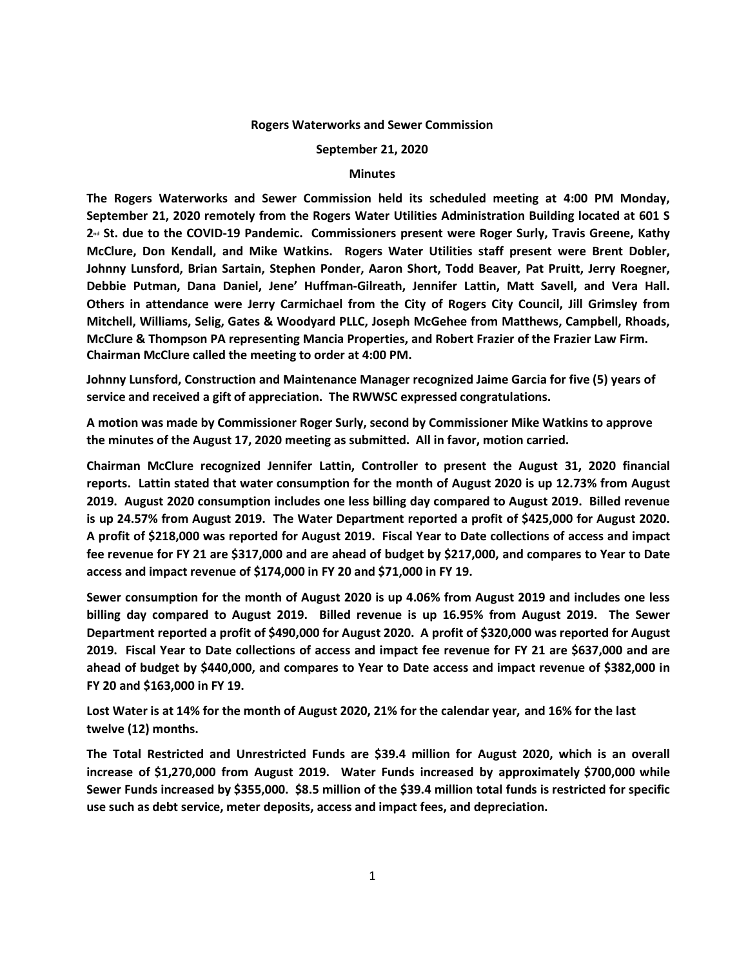## **Rogers Waterworks and Sewer Commission**

## **September 21, 2020**

## **Minutes**

**The Rogers Waterworks and Sewer Commission held its scheduled meeting at 4:00 PM Monday, September 21, 2020 remotely from the Rogers Water Utilities Administration Building located at 601 S 2nd St. due to the COVID-19 Pandemic. Commissioners present were Roger Surly, Travis Greene, Kathy McClure, Don Kendall, and Mike Watkins. Rogers Water Utilities staff present were Brent Dobler, Johnny Lunsford, Brian Sartain, Stephen Ponder, Aaron Short, Todd Beaver, Pat Pruitt, Jerry Roegner, Debbie Putman, Dana Daniel, Jene' Huffman-Gilreath, Jennifer Lattin, Matt Savell, and Vera Hall. Others in attendance were Jerry Carmichael from the City of Rogers City Council, Jill Grimsley from Mitchell, Williams, Selig, Gates & Woodyard PLLC, Joseph McGehee from Matthews, Campbell, Rhoads,**  McClure & Thompson PA representing Mancia Properties, and Robert Frazier of the Frazier Law Firm. **Chairman McClure called the meeting to order at 4:00 PM.** 

**Johnny Lunsford, Construction and Maintenance Manager recognized Jaime Garcia for five (5) years of service and received a gift of appreciation. The RWWSC expressed congratulations.** 

**A motion was made by Commissioner Roger Surly, second by Commissioner Mike Watkins to approve the minutes of the August 17, 2020 meeting as submitted. All in favor, motion carried.** 

**Chairman McClure recognized Jennifer Lattin, Controller to present the August 31, 2020 financial reports. Lattin stated that water consumption for the month of August 2020 is up 12.73% from August 2019. August 2020 consumption includes one less billing day compared to August 2019. Billed revenue is up 24.57% from August 2019. The Water Department reported a profit of \$425,000 for August 2020. A profit of \$218,000 was reported for August 2019. Fiscal Year to Date collections of access and impact**  fee revenue for FY 21 are \$317,000 and are ahead of budget by \$217,000, and compares to Year to Date **access and impact revenue of \$174,000 in FY 20 and \$71,000 in FY 19.** 

**Sewer consumption for the month of August 2020 is up 4.06% from August 2019 and includes one less billing day compared to August 2019. Billed revenue is up 16.95% from August 2019. The Sewer Department reported a profit of \$490,000 for August 2020. A profit of \$320,000 was reported for August 2019. Fiscal Year to Date collections of access and impact fee revenue for FY 21 are \$637,000 and are ahead of budget by \$440,000, and compares to Year to Date access and impact revenue of \$382,000 in FY 20 and \$163,000 in FY 19.** 

**Lost Water is at 14% for the month of August 2020, 21% for the calendar year, and 16% for the last twelve (12) months.** 

**The Total Restricted and Unrestricted Funds are \$39.4 million for August 2020, which is an overall increase of \$1,270,000 from August 2019. Water Funds increased by approximately \$700,000 while**  Sewer Funds increased by \$355,000. \$8.5 million of the \$39.4 million total funds is restricted for specific **use such as debt service, meter deposits, access and impact fees, and depreciation.**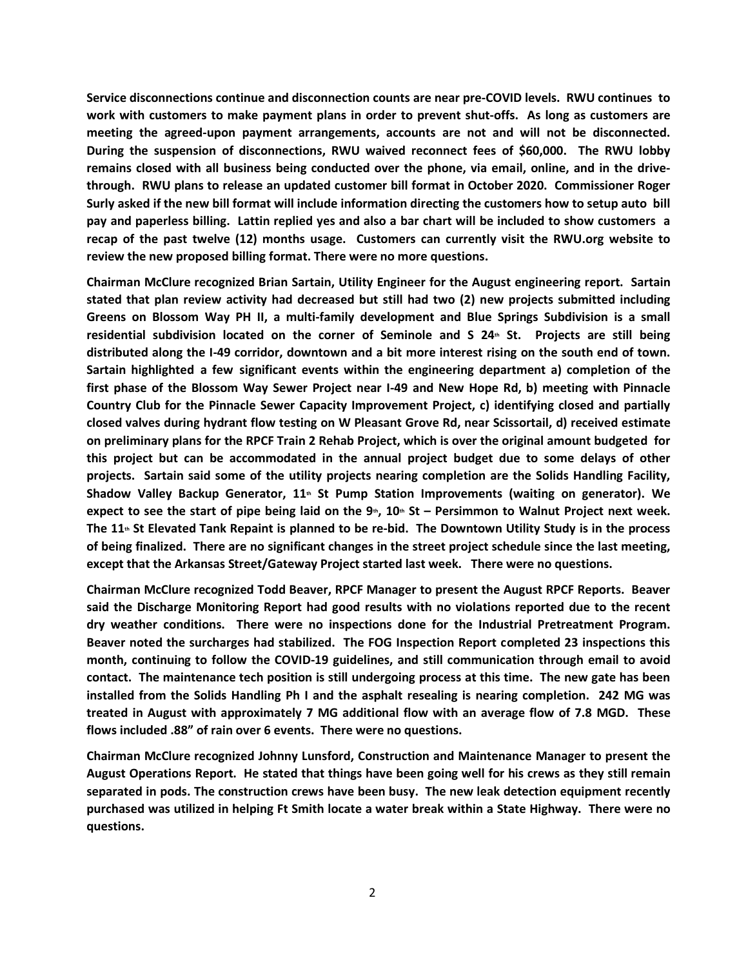**Service disconnections continue and disconnection counts are near pre-COVID levels. RWU continues to work with customers to make payment plans in order to prevent shut-offs. As long as customers are meeting the agreed-upon payment arrangements, accounts are not and will not be disconnected. During the suspension of disconnections, RWU waived reconnect fees of \$60,000. The RWU lobby remains closed with all business being conducted over the phone, via email, online, and in the drivethrough. RWU plans to release an updated customer bill format in October 2020. Commissioner Roger Surly asked if the new bill format will include information directing the customers how to setup auto bill pay and paperless billing. Lattin replied yes and also a bar chart will be included to show customers a recap of the past twelve (12) months usage. Customers can currently visit the RWU.org website to review the new proposed billing format. There were no more questions.** 

**Chairman McClure recognized Brian Sartain, Utility Engineer for the August engineering report. Sartain stated that plan review activity had decreased but still had two (2) new projects submitted including Greens on Blossom Way PH II, a multi-family development and Blue Springs Subdivision is a small residential subdivision located on the corner of Seminole and S 24th St. Projects are still being distributed along the I-49 corridor, downtown and a bit more interest rising on the south end of town. Sartain highlighted a few significant events within the engineering department a) completion of the first phase of the Blossom Way Sewer Project near I-49 and New Hope Rd, b) meeting with Pinnacle Country Club for the Pinnacle Sewer Capacity Improvement Project, c) identifying closed and partially closed valves during hydrant flow testing on W Pleasant Grove Rd, near Scissortail, d) received estimate on preliminary plans for the RPCF Train 2 Rehab Project, which is over the original amount budgeted for this project but can be accommodated in the annual project budget due to some delays of other projects. Sartain said some of the utility projects nearing completion are the Solids Handling Facility, Shadow Valley Backup Generator, 11th St Pump Station Improvements (waiting on generator). We expect to see the start of pipe being laid on the**  $9$ **<sup>th</sup>, 10<sup>th</sup> St – Persimmon to Walnut Project next week. The 11th St Elevated Tank Repaint is planned to be re-bid. The Downtown Utility Study is in the process**  of being finalized. There are no significant changes in the street project schedule since the last meeting, **except that the Arkansas Street/Gateway Project started last week. There were no questions.** 

**Chairman McClure recognized Todd Beaver, RPCF Manager to present the August RPCF Reports. Beaver said the Discharge Monitoring Report had good results with no violations reported due to the recent dry weather conditions. There were no inspections done for the Industrial Pretreatment Program. Beaver noted the surcharges had stabilized. The FOG Inspection Report completed 23 inspections this month, continuing to follow the COVID-19 guidelines, and still communication through email to avoid contact. The maintenance tech position is still undergoing process at this time. The new gate has been installed from the Solids Handling Ph I and the asphalt resealing is nearing completion. 242 MG was treated in August with approximately 7 MG additional flow with an average flow of 7.8 MGD. These flows included .88" of rain over 6 events. There were no questions.** 

**Chairman McClure recognized Johnny Lunsford, Construction and Maintenance Manager to present the August Operations Report. He stated that things have been going well for his crews as they still remain separated in pods. The construction crews have been busy. The new leak detection equipment recently purchased was utilized in helping Ft Smith locate a water break within a State Highway. There were no questions.**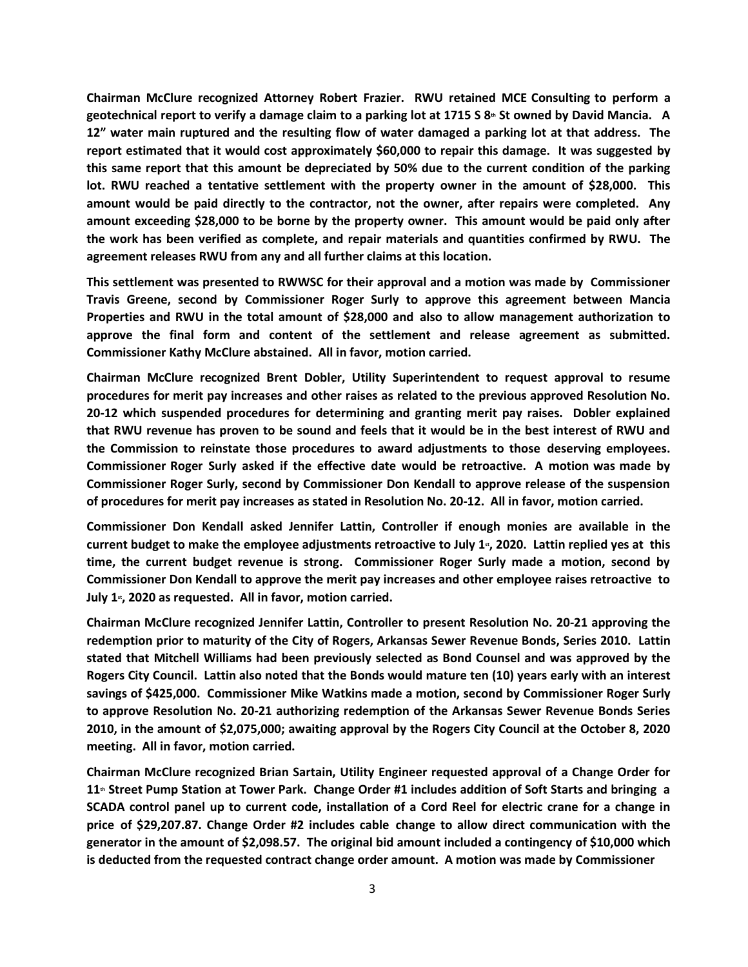**Chairman McClure recognized Attorney Robert Frazier. RWU retained MCE Consulting to perform a geotechnical report to verify a damage claim to a parking lot at 1715 S 8th St owned by David Mancia. A 12" water main ruptured and the resulting flow of water damaged a parking lot at that address. The report estimated that it would cost approximately \$60,000 to repair this damage. It was suggested by this same report that this amount be depreciated by 50% due to the current condition of the parking lot. RWU reached a tentative settlement with the property owner in the amount of \$28,000. This amount would be paid directly to the contractor, not the owner, after repairs were completed. Any amount exceeding \$28,000 to be borne by the property owner. This amount would be paid only after the work has been verified as complete, and repair materials and quantities confirmed by RWU. The agreement releases RWU from any and all further claims at this location.** 

**This settlement was presented to RWWSC for their approval and a motion was made by Commissioner Travis Greene, second by Commissioner Roger Surly to approve this agreement between Mancia Properties and RWU in the total amount of \$28,000 and also to allow management authorization to approve the final form and content of the settlement and release agreement as submitted. Commissioner Kathy McClure abstained. All in favor, motion carried.** 

**Chairman McClure recognized Brent Dobler, Utility Superintendent to request approval to resume procedures for merit pay increases and other raises as related to the previous approved Resolution No. 20-12 which suspended procedures for determining and granting merit pay raises. Dobler explained that RWU revenue has proven to be sound and feels that it would be in the best interest of RWU and the Commission to reinstate those procedures to award adjustments to those deserving employees. Commissioner Roger Surly asked if the effective date would be retroactive. A motion was made by Commissioner Roger Surly, second by Commissioner Don Kendall to approve release of the suspension of procedures for merit pay increases as stated in Resolution No. 20-12. All in favor, motion carried.** 

**Commissioner Don Kendall asked Jennifer Lattin, Controller if enough monies are available in the current budget to make the employee adjustments retroactive to July 1st, 2020. Lattin replied yes at this time, the current budget revenue is strong. Commissioner Roger Surly made a motion, second by Commissioner Don Kendall to approve the merit pay increases and other employee raises retroactive to**  July 1<sup>*s*</sup>, 2020 as requested. All in favor, motion carried.

**Chairman McClure recognized Jennifer Lattin, Controller to present Resolution No. 20-21 approving the redemption prior to maturity of the City of Rogers, Arkansas Sewer Revenue Bonds, Series 2010. Lattin stated that Mitchell Williams had been previously selected as Bond Counsel and was approved by the Rogers City Council. Lattin also noted that the Bonds would mature ten (10) years early with an interest savings of \$425,000. Commissioner Mike Watkins made a motion, second by Commissioner Roger Surly to approve Resolution No. 20-21 authorizing redemption of the Arkansas Sewer Revenue Bonds Series 2010, in the amount of \$2,075,000; awaiting approval by the Rogers City Council at the October 8, 2020 meeting. All in favor, motion carried.** 

**Chairman McClure recognized Brian Sartain, Utility Engineer requested approval of a Change Order for 11th Street Pump Station at Tower Park. Change Order #1 includes addition of Soft Starts and bringing a SCADA control panel up to current code, installation of a Cord Reel for electric crane for a change in price of \$29,207.87. Change Order #2 includes cable change to allow direct communication with the generator in the amount of \$2,098.57. The original bid amount included a contingency of \$10,000 which is deducted from the requested contract change order amount. A motion was made by Commissioner**